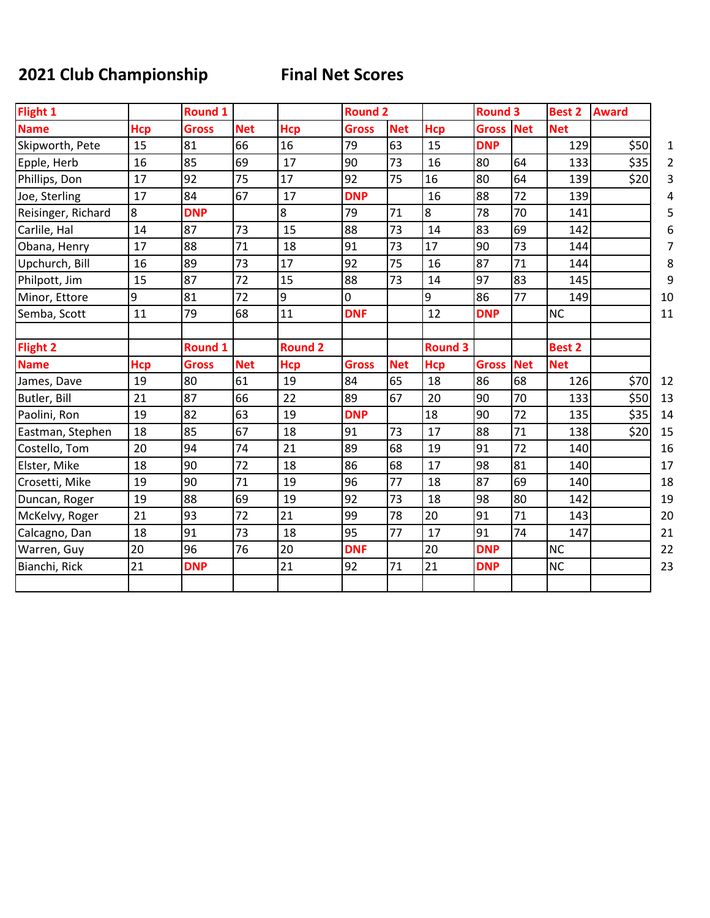## **2021 Club Championship Final Net Scores**

| Flight 1           |            | <b>Round 1</b> |            |                | <b>Round 2</b> |            |                | <b>Round 3</b> |            | <b>Best 2</b> | <b>Award</b> |
|--------------------|------------|----------------|------------|----------------|----------------|------------|----------------|----------------|------------|---------------|--------------|
| <b>Name</b>        | <b>Hcp</b> | <b>Gross</b>   | <b>Net</b> | Hcp            | <b>Gross</b>   | <b>Net</b> | <b>Hcp</b>     | <b>Gross</b>   | <b>Net</b> | <b>Net</b>    |              |
| Skipworth, Pete    | 15         | 81             | 66         | 16             | 79             | 63         | 15             | <b>DNP</b>     |            | 129           | \$50         |
| Epple, Herb        | 16         | 85             | 69         | 17             | 90             | 73         | 16             | 80             | 64         | 133           | \$35         |
| Phillips, Don      | 17         | 92             | 75         | 17             | 92             | 75         | 16             | 80             | 64         | 139           | \$20         |
| Joe, Sterling      | 17         | 84             | 67         | 17             | <b>DNP</b>     |            | 16             | 88             | 72         | 139           |              |
| Reisinger, Richard | 8          | <b>DNP</b>     |            | 8              | 79             | 71         | 8              | 78             | 70         | 141           |              |
| Carlile, Hal       | 14         | 87             | 73         | 15             | 88             | 73         | 14             | 83             | 69         | 142           |              |
| Obana, Henry       | 17         | 88             | 71         | 18             | 91             | 73         | 17             | 90             | 73         | 144           |              |
| Upchurch, Bill     | 16         | 89             | 73         | 17             | 92             | 75         | 16             | 87             | 71         | 144           |              |
| Philpott, Jim      | 15         | 87             | 72         | 15             | 88             | 73         | 14             | 97             | 83         | 145           |              |
| Minor, Ettore      | 9          | 81             | 72         | 9              | 0              |            | 9              | 86             | 77         | 149           |              |
| Semba, Scott       | 11         | 79             | 68         | 11             | <b>DNF</b>     |            | 12             | <b>DNP</b>     |            | <b>NC</b>     |              |
| <b>Flight 2</b>    |            | <b>Round 1</b> |            | <b>Round 2</b> |                |            | <b>Round 3</b> |                |            | <b>Best 2</b> |              |
| <b>Name</b>        | <b>Hcp</b> | <b>Gross</b>   | <b>Net</b> | <b>Hcp</b>     | <b>Gross</b>   | <b>Net</b> | <b>Hcp</b>     | <b>Gross</b>   | <b>Net</b> | <b>Net</b>    |              |
| James, Dave        | 19         | 80             | 61         | 19             | 84             | 65         | 18             | 86             | 68         | 126           | \$70         |
| Butler, Bill       | 21         | 87             | 66         | 22             | 89             | 67         | 20             | 90             | 70         | 133           | \$50         |
| Paolini, Ron       | 19         | 82             | 63         | 19             | <b>DNP</b>     |            | 18             | 90             | 72         | 135           | \$35         |
| Eastman, Stephen   | 18         | 85             | 67         | 18             | 91             | 73         | 17             | 88             | 71         | 138           | \$20         |
| Costello, Tom      | 20         | 94             | 74         | 21             | 89             | 68         | 19             | 91             | 72         | 140           |              |
| Elster, Mike       | 18         | 90             | 72         | 18             | 86             | 68         | 17             | 98             | 81         | 140           |              |
| Crosetti, Mike     | 19         | 90             | 71         | 19             | 96             | 77         | 18             | 87             | 69         | 140           |              |
| Duncan, Roger      | 19         | 88             | 69         | 19             | 92             | 73         | 18             | 98             | 80         | 142           |              |
| McKelvy, Roger     | 21         | 93             | 72         | 21             | 99             | 78         | 20             | 91             | 71         | 143           |              |
| Calcagno, Dan      | 18         | 91             | 73         | 18             | 95             | 77         | 17             | 91             | 74         | 147           |              |
| Warren, Guy        | 20         | 96             | 76         | 20             | <b>DNF</b>     |            | 20             | <b>DNP</b>     |            | <b>NC</b>     |              |
| Bianchi, Rick      | 21         | <b>DNP</b>     |            | 21             | 92             | 71         | 21             | <b>DNP</b>     |            | <b>NC</b>     |              |
|                    |            |                |            |                |                |            |                |                |            |               |              |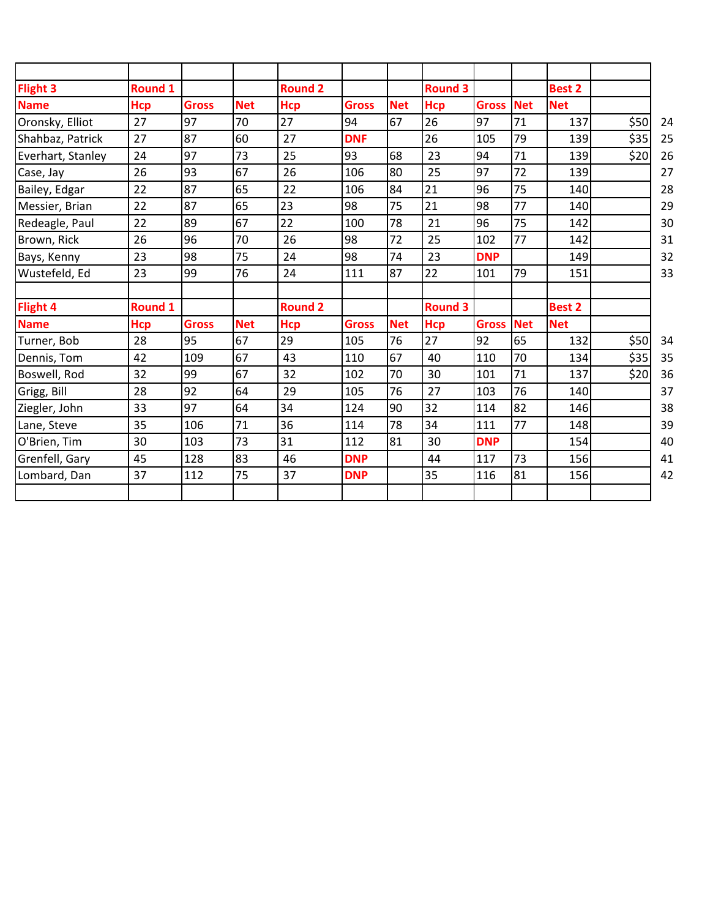| <b>Flight 3</b>   | <b>Round 1</b> |              |            | <b>Round 2</b> |              |            | <b>Round 3</b> |              |            | <b>Best 2</b> |      |
|-------------------|----------------|--------------|------------|----------------|--------------|------------|----------------|--------------|------------|---------------|------|
| <b>Name</b>       | <b>Hcp</b>     | <b>Gross</b> | <b>Net</b> | <b>Hcp</b>     | <b>Gross</b> | <b>Net</b> | <b>Hcp</b>     | <b>Gross</b> | <b>Net</b> | <b>Net</b>    |      |
| Oronsky, Elliot   | 27             | 97           | 70         | 27             | 94           | 67         | 26             | 97           | 71         | 137           | \$50 |
| Shahbaz, Patrick  | 27             | 87           | 60         | 27             | <b>DNF</b>   |            | 26             | 105          | 79         | 139           | \$35 |
| Everhart, Stanley | 24             | 97           | 73         | 25             | 93           | 68         | 23             | 94           | 71         | 139           | \$20 |
| Case, Jay         | 26             | 93           | 67         | 26             | 106          | 80         | 25             | 97           | 72         | 139           |      |
| Bailey, Edgar     | 22             | 87           | 65         | 22             | 106          | 84         | 21             | 96           | 75         | 140           |      |
| Messier, Brian    | 22             | 87           | 65         | 23             | 98           | 75         | 21             | 98           | 77         | 140           |      |
| Redeagle, Paul    | 22             | 89           | 67         | 22             | 100          | 78         | 21             | 96           | 75         | 142           |      |
| Brown, Rick       | 26             | 96           | 70         | 26             | 98           | 72         | 25             | 102          | 77         | 142           |      |
| Bays, Kenny       | 23             | 98           | 75         | 24             | 98           | 74         | 23             | <b>DNP</b>   |            | 149           |      |
| Wustefeld, Ed     | 23             | 99           | 76         | 24             | 111          | 87         | 22             | 101          | 79         | 151           |      |
| <b>Flight 4</b>   | <b>Round 1</b> |              |            | <b>Round 2</b> |              |            | <b>Round 3</b> |              |            | <b>Best 2</b> |      |
| <b>Name</b>       | <b>Hcp</b>     | <b>Gross</b> | <b>Net</b> | <b>Hcp</b>     | <b>Gross</b> | <b>Net</b> | <b>Hcp</b>     | <b>Gross</b> | <b>Net</b> | <b>Net</b>    |      |
| Turner, Bob       | 28             | 95           | 67         | 29             | 105          | 76         | 27             | 92           | 65         | 132           | \$50 |
| Dennis, Tom       | 42             | 109          | 67         | 43             | 110          | 67         | 40             | 110          | 70         | 134           | \$35 |
| Boswell, Rod      | 32             | 99           | 67         | 32             | 102          | 70         | 30             | 101          | 71         | 137           | \$20 |
| Grigg, Bill       | 28             | 92           | 64         | 29             | 105          | 76         | 27             | 103          | 76         | 140           |      |
| Ziegler, John     | 33             | 97           | 64         | 34             | 124          | 90         | 32             | 114          | 82         | 146           |      |
| Lane, Steve       | 35             | 106          | 71         | 36             | 114          | 78         | 34             | 111          | 77         | 148           |      |
| O'Brien, Tim      | 30             | 103          | 73         | 31             | 112          | 81         | 30             | <b>DNP</b>   |            | 154           |      |
| Grenfell, Gary    | 45             | 128          | 83         | 46             | <b>DNP</b>   |            | 44             | 117          | 73         | 156           |      |
| Lombard, Dan      | 37             | 112          | 75         | 37             | <b>DNP</b>   |            | 35             | 116          | 81         | 156           |      |
|                   |                |              |            |                |              |            |                |              |            |               |      |